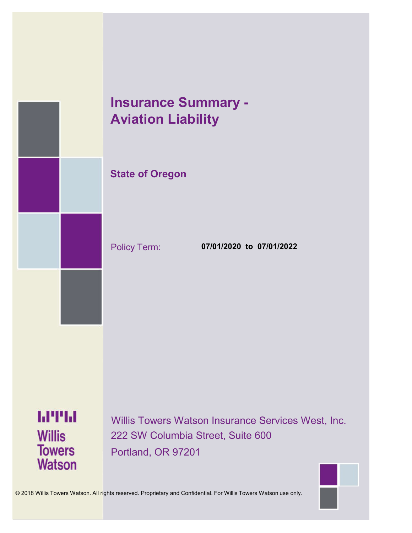

# **Insurance Summary - Aviation Liability**

### **State of Oregon**

Policy Term: **07/01/2020 to 07/01/2022**

**MTH Willis Towers Watson** 

Willis Towers Watson Insurance Services West, Inc. 222 SW Columbia Street, Suite 600 Portland, OR 97201



© 2018 Willis Towers Watson. All rights reserved. Proprietary and Confidential. For Willis Towers Watson use only.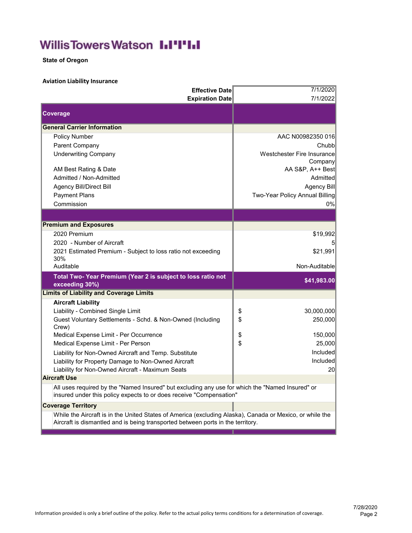## **WillisTowersWatson I.I'I'I.I**

**State of Oregon**

### **Aviation Liability Insurance**

| <b>Effective Date</b><br><b>Expiration Date</b>                                                                                                                                             | 7/1/2020<br>7/1/2022                          |
|---------------------------------------------------------------------------------------------------------------------------------------------------------------------------------------------|-----------------------------------------------|
| <b>Coverage</b>                                                                                                                                                                             |                                               |
| <b>General Carrier Information</b>                                                                                                                                                          |                                               |
| <b>Policy Number</b>                                                                                                                                                                        | AAC N00982350 016                             |
| Parent Company                                                                                                                                                                              | Chubbl                                        |
| <b>Underwriting Company</b>                                                                                                                                                                 | Westchester Fire Insurance                    |
|                                                                                                                                                                                             | Company                                       |
| AM Best Rating & Date<br>Admitted / Non-Admitted                                                                                                                                            | AA S&P, A++ Best<br>Admitted                  |
|                                                                                                                                                                                             |                                               |
| Agency Bill/Direct Bill<br><b>Payment Plans</b>                                                                                                                                             | Agency Bill<br>Two-Year Policy Annual Billing |
| Commission                                                                                                                                                                                  | 0%                                            |
|                                                                                                                                                                                             |                                               |
|                                                                                                                                                                                             |                                               |
| <b>Premium and Exposures</b>                                                                                                                                                                |                                               |
| 2020 Premium                                                                                                                                                                                | \$19,992                                      |
| 2020 - Number of Aircraft                                                                                                                                                                   |                                               |
| 2021 Estimated Premium - Subject to loss ratio not exceeding<br>30%                                                                                                                         | \$21,991                                      |
| Auditable                                                                                                                                                                                   | Non-Auditable                                 |
| Total Two-Year Premium (Year 2 is subject to loss ratio not<br>exceeding 30%)                                                                                                               | \$41,983.00                                   |
| <b>Limits of Liability and Coverage Limits</b>                                                                                                                                              |                                               |
| <b>Aircraft Liability</b>                                                                                                                                                                   |                                               |
| Liability - Combined Single Limit                                                                                                                                                           | \$<br>30,000,000                              |
| Guest Voluntary Settlements - Schd. & Non-Owned (Including<br>Crew)                                                                                                                         | \$<br>250,000                                 |
| Medical Expense Limit - Per Occurrence                                                                                                                                                      | \$<br>150,000                                 |
| Medical Expense Limit - Per Person                                                                                                                                                          | \$<br>25,000                                  |
| Liability for Non-Owned Aircraft and Temp. Substitute                                                                                                                                       | Included                                      |
| Liability for Property Damage to Non-Owned Aircraft                                                                                                                                         | Included                                      |
| Liability for Non-Owned Aircraft - Maximum Seats                                                                                                                                            | 20 <sup>°</sup>                               |
| <b>Aircraft Use</b>                                                                                                                                                                         |                                               |
| All uses required by the "Named Insured" but excluding any use for which the "Named Insured" or<br>insured under this policy expects to or does receive "Compensation"                      |                                               |
| <b>Coverage Territory</b>                                                                                                                                                                   |                                               |
| While the Aircraft is in the United States of America (excluding Alaska), Canada or Mexico, or while the<br>Aircraft is dismantled and is being transported between ports in the territory. |                                               |